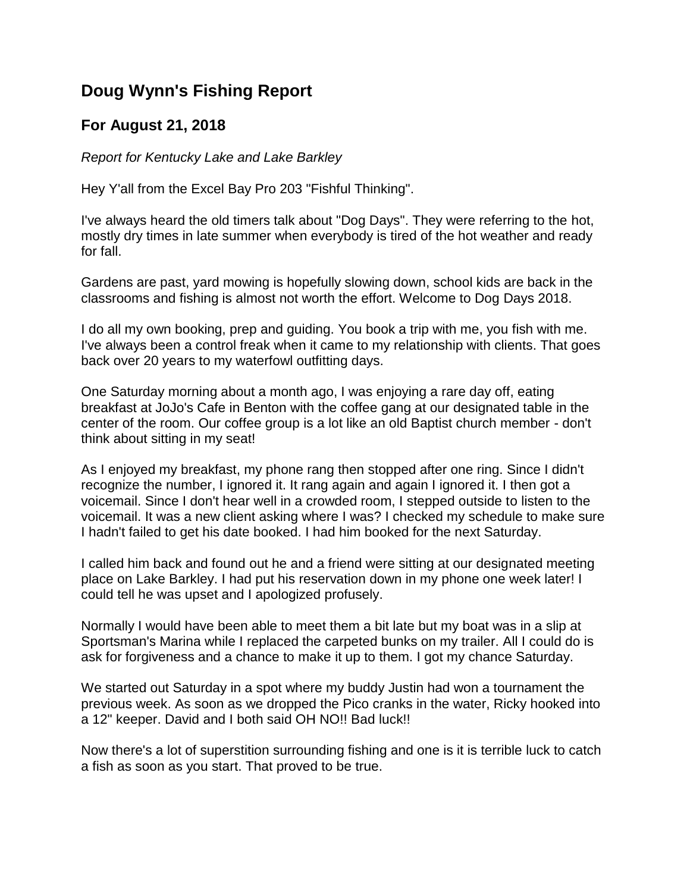## **Doug Wynn's Fishing Report**

## **For August 21, 2018**

*Report for Kentucky Lake and Lake Barkley*

Hey Y'all from the Excel Bay Pro 203 "Fishful Thinking".

I've always heard the old timers talk about "Dog Days". They were referring to the hot, mostly dry times in late summer when everybody is tired of the hot weather and ready for fall.

Gardens are past, yard mowing is hopefully slowing down, school kids are back in the classrooms and fishing is almost not worth the effort. Welcome to Dog Days 2018.

I do all my own booking, prep and guiding. You book a trip with me, you fish with me. I've always been a control freak when it came to my relationship with clients. That goes back over 20 years to my waterfowl outfitting days.

One Saturday morning about a month ago, I was enjoying a rare day off, eating breakfast at JoJo's Cafe in Benton with the coffee gang at our designated table in the center of the room. Our coffee group is a lot like an old Baptist church member - don't think about sitting in my seat!

As I enjoyed my breakfast, my phone rang then stopped after one ring. Since I didn't recognize the number, I ignored it. It rang again and again I ignored it. I then got a voicemail. Since I don't hear well in a crowded room, I stepped outside to listen to the voicemail. It was a new client asking where I was? I checked my schedule to make sure I hadn't failed to get his date booked. I had him booked for the next Saturday.

I called him back and found out he and a friend were sitting at our designated meeting place on Lake Barkley. I had put his reservation down in my phone one week later! I could tell he was upset and I apologized profusely.

Normally I would have been able to meet them a bit late but my boat was in a slip at Sportsman's Marina while I replaced the carpeted bunks on my trailer. All I could do is ask for forgiveness and a chance to make it up to them. I got my chance Saturday.

We started out Saturday in a spot where my buddy Justin had won a tournament the previous week. As soon as we dropped the Pico cranks in the water, Ricky hooked into a 12" keeper. David and I both said OH NO!! Bad luck!!

Now there's a lot of superstition surrounding fishing and one is it is terrible luck to catch a fish as soon as you start. That proved to be true.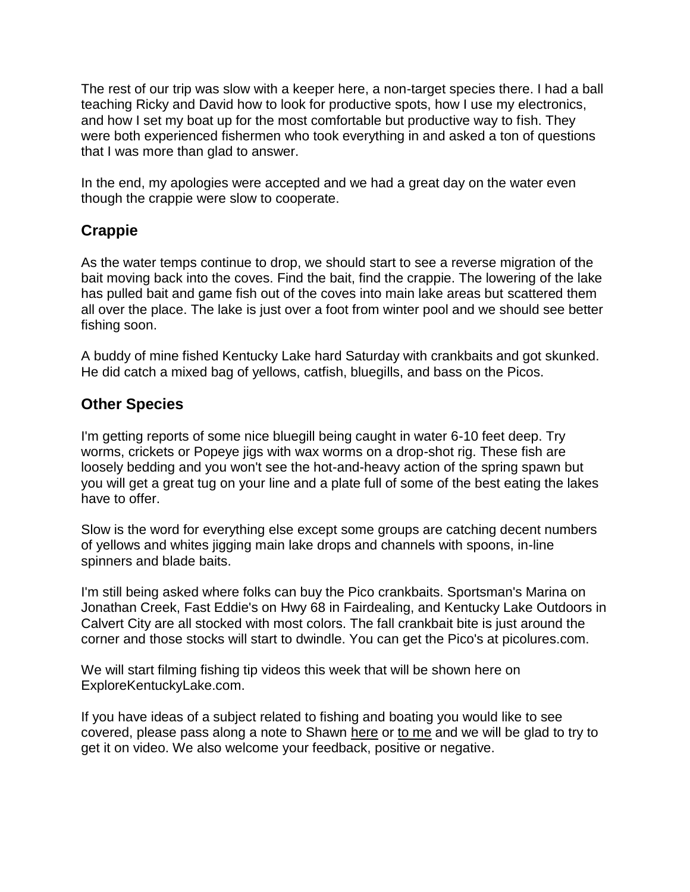The rest of our trip was slow with a keeper here, a non-target species there. I had a ball teaching Ricky and David how to look for productive spots, how I use my electronics, and how I set my boat up for the most comfortable but productive way to fish. They were both experienced fishermen who took everything in and asked a ton of questions that I was more than glad to answer.

In the end, my apologies were accepted and we had a great day on the water even though the crappie were slow to cooperate.

## **Crappie**

As the water temps continue to drop, we should start to see a reverse migration of the bait moving back into the coves. Find the bait, find the crappie. The lowering of the lake has pulled bait and game fish out of the coves into main lake areas but scattered them all over the place. The lake is just over a foot from winter pool and we should see better fishing soon.

A buddy of mine fished Kentucky Lake hard Saturday with crankbaits and got skunked. He did catch a mixed bag of yellows, catfish, bluegills, and bass on the Picos.

## **Other Species**

I'm getting reports of some nice bluegill being caught in water 6-10 feet deep. Try worms, crickets or Popeye jigs with wax worms on a drop-shot rig. These fish are loosely bedding and you won't see the hot-and-heavy action of the spring spawn but you will get a great tug on your line and a plate full of some of the best eating the lakes have to offer.

Slow is the word for everything else except some groups are catching decent numbers of yellows and whites jigging main lake drops and channels with spoons, in-line spinners and blade baits.

I'm still being asked where folks can buy the Pico crankbaits. Sportsman's Marina on Jonathan Creek, Fast Eddie's on Hwy 68 in Fairdealing, and Kentucky Lake Outdoors in Calvert City are all stocked with most colors. The fall crankbait bite is just around the corner and those stocks will start to dwindle. You can get the Pico's at picolures.com.

We will start filming fishing tip videos this week that will be shown here on ExploreKentuckyLake.com.

If you have ideas of a subject related to fishing and boating you would like to see covered, please pass along a note to Shawn [here](mailto:info@explorekentuckylake.com) or [to me](mailto:doug@5riversdux.com) and we will be glad to try to get it on video. We also welcome your feedback, positive or negative.